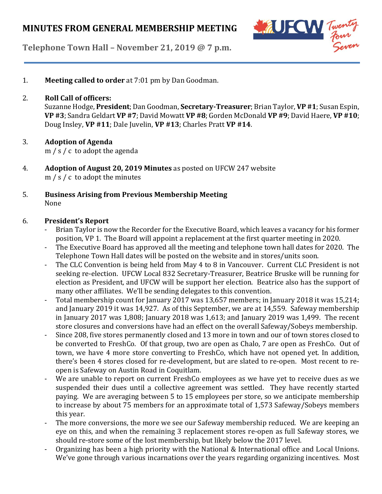

**Telephone Town Hall – November 21, 2019 @ 7 p.m.**

1. **Meeting called to order** at 7:01 pm by Dan Goodman.

### 2. **Roll Call of officers:**

Suzanne Hodge, **President**; Dan Goodman, **Secretary-Treasurer**; Brian Taylor, **VP #1**;Susan Espin, **VP #3**; Sandra Geldart **VP #7**; David Mowatt **VP #8**; Gorden McDonald **VP #9**; David Haere, **VP #10**; Doug Insley, **VP #11**; Dale Juvelin, **VP #13**; Charles Pratt **VP #14**.

# 3. **Adoption of Agenda**

m / s / c to adopt the agenda

- 4. **Adoption of August 20, 2019 Minutes** as posted on UFCW 247 website m / s / c to adopt the minutes
- 5. **Business Arising from Previous Membership Meeting** None

### 6. **President's Report**

- Brian Taylor is now the Recorder for the Executive Board, which leaves a vacancy for his former position, VP 1. The Board will appoint a replacement at the first quarter meeting in 2020.
- The Executive Board has approved all the meeting and telephone town hall dates for 2020. The Telephone Town Hall dates will be posted on the website and in stores/units soon.
- The CLC Convention is being held from May 4 to 8 in Vancouver. Current CLC President is not seeking re-election. UFCW Local 832 Secretary-Treasurer, Beatrice Bruske will be running for election as President, and UFCW will be support her election. Beatrice also has the support of many other affiliates. We'll be sending delegates to this convention.
- Total membership count for January 2017 was 13,657 members; in January 2018 it was 15,214; and January 2019 it was 14,927. As of this September, we are at 14,559. Safeway membership in January 2017 was 1,808; January 2018 was 1,613; and January 2019 was 1,499. The recent store closures and conversions have had an effect on the overall Safeway/Sobeys membership.
- Since 208, five stores permanently closed and 13 more in town and our of town stores closed to be converted to FreshCo. Of that group, two are open as Chalo, 7 are open as FreshCo. Out of town, we have 4 more store converting to FreshCo, which have not opened yet. In addition, there's been 4 stores closed for re-development, but are slated to re-open. Most recent to reopen is Safeway on Austin Road in Coquitlam.
- We are unable to report on current FreshCo employees as we have yet to receive dues as we suspended their dues until a collective agreement was settled. They have recently started paying. We are averaging between 5 to 15 employees per store, so we anticipate membership to increase by about 75 members for an approximate total of 1,573 Safeway/Sobeys members this year.
- The more conversions, the more we see our Safeway membership reduced. We are keeping an eye on this, and when the remaining 3 replacement stores re-open as full Safeway stores, we should re-store some of the lost membership, but likely below the 2017 level.
- Organizing has been a high priority with the National & International office and Local Unions. We've gone through various incarnations over the years regarding organizing incentives. Most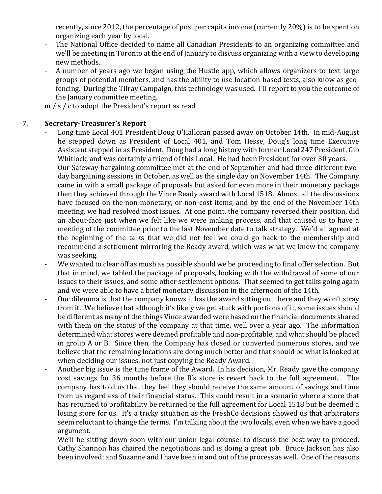recently, since 2012, the percentage of post per capita income (currently 20%) is to be spent on organizing each year by local.

- The National Office decided to name all Canadian Presidents to an organizing committee and we'll be meeting in Toronto at the end of January to discuss organizing with a view to developing new methods.
- A number of years ago we began using the Hustle app, which allows organizers to text large groups of potential members, and has the ability to use location-based texts, also know as geofencing. During the Tilray Campaign, this technology was used. I'll report to you the outcome of the January committee meeting.
- m / s / c to adopt the President's report as read

# 7. **Secretary-Treasurer's Report**

- Long time Local 401 President Doug O'Halloran passed away on October 14th. In mid-August he stepped down as President of Local 401, and Tom Hesse, Doug's long time Executive Assistant stepped in as President. Doug had a long history with former Local 247 President, Gib Whitlock, and was certainly a friend of this Local. He had been President for over 30 years.
- Our Safeway bargaining committee met at the end of September and had three different twoday bargaining sessions in October, as well as the single day on November 14th. The Company came in with a small package of proposals but asked for even more in their monetary package then they achieved through the Vince Ready award with Local 1518. Almost all the discussions have focused on the non-monetary, or non-cost items, and by the end of the November 14th meeting, we had resolved most issues. At one point, the company reversed their position, did an about-face just when we felt like we were making process, and that caused us to have a meeting of the committee prior to the last November date to talk strategy. We'd all agreed at the beginning of the talks that we did not feel we could go back to the membership and recommend a settlement mirroring the Ready award, which was what we knew the company was seeking.
- We wanted to clear off as mush as possible should we be proceeding to final offer selection. But that in mind, we tabled the package of proposals, looking with the withdrawal of some of our issues to their issues, and some other settlement options. That seemed to get talks going again and we were able to have a brief monetary discussion in the afternoon of the 14th.
- Our dilemma is that the company knows it has the award sitting out there and they won't stray from it. We believe that although it's likely we get stuck with portions of it, some issues should be different as many of the things Vince awarded were based on the financial documents shared with them on the status of the company at that time, well over a year ago. The information determined what stores were deemed profitable and non-profitable, and what should be placed in group A or B. Since then, the Company has closed or converted numerous stores, and we believe that the remaining locations are doing much better and that should be what is looked at when deciding our issues, not just copying the Ready Award.
- Another big issue is the time frame of the Award. In his decision, Mr. Ready gave the company cost savings for 36 months before the B's store is revert back to the full agreement. The company has told us that they feel they should receive the same amount of savings and time from us regardless of their financial status. This could result in a scenario where a store that has returned to profitability be returned to the full agreement for Local 1518 but be deemed a losing store for us. It's a tricky situation as the FreshCo decisions showed us that arbitrators seem reluctant to change the terms. I'm talking about the two locals, even when we have a good argument.
- We'll be sitting down soon with our union legal counsel to discuss the best way to proceed. Cathy Shannon has chaired the negotiations and is doing a great job. Bruce Jackson has also been involved; and Suzanne and I have been in and out ofthe process as well. One of the reasons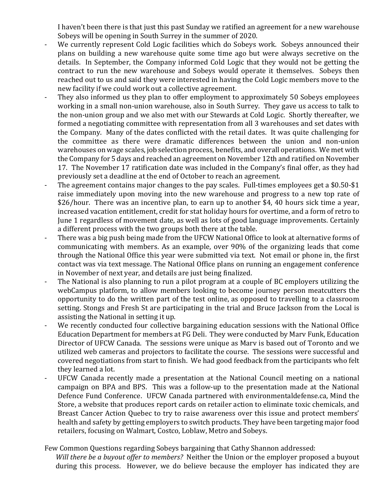I haven't been there is that just this past Sunday we ratified an agreement for a new warehouse Sobeys will be opening in South Surrey in the summer of 2020.

- We currently represent Cold Logic facilities which do Sobeys work. Sobeys announced their plans on building a new warehouse quite some time ago but were always secretive on the details. In September, the Company informed Cold Logic that they would not be getting the contract to run the new warehouse and Sobeys would operate it themselves. Sobeys then reached out to us and said they were interested in having the Cold Logic members move to the new facility if we could work out a collective agreement.
- They also informed us they plan to offer employment to approximately 50 Sobeys employees working in a small non-union warehouse, also in South Surrey. They gave us access to talk to the non-union group and we also met with our Stewards at Cold Logic. Shortly thereafter, we formed a negotiating committee with representation from all 3 warehouses and set dates with the Company. Many of the dates conflicted with the retail dates. It was quite challenging for the committee as there were dramatic differences between the union and non-union warehouses on wage scales, job selection process, benefits, and overall operations. We met with the Company for 5 days and reached an agreement on November 12th and ratified on November 17. The November 17 ratification date was included in the Company's final offer, as they had previously set a deadline at the end of October to reach an agreement.
- The agreement contains major changes to the pay scales. Full-times employees get a \$0.50-\$1 raise immediately upon moving into the new warehouse and progress to a new top rate of \$26/hour. There was an incentive plan, to earn up to another \$4, 40 hours sick time a year, increased vacation entitlement, credit for stat holiday hours for overtime, and a form of retro to June 1 regardless of movement date, as well as lots of good language improvements. Certainly a different process with the two groups both there at the table.
- There was a big push being made from the UFCW National Office to look at alternative forms of communicating with members. As an example, over 90% of the organizing leads that come through the National Office this year were submitted via text. Not email or phone in, the first contact was via text message. The National Office plans on running an engagement conference in November of next year, and details are just being finalized.
- The National is also planning to run a pilot program at a couple of BC employers utilizing the webCampus platform, to allow members looking to become journey person meatcutters the opportunity to do the written part of the test online, as opposed to travelling to a classroom setting. Stongs and Fresh St are participating in the trial and Bruce Jackson from the Local is assisting the National in setting it up.
- We recently conducted four collective bargaining education sessions with the National Office Education Department for members at FG Deli. They were conducted by Marv Funk, Education Director of UFCW Canada. The sessions were unique as Marv is based out of Toronto and we utilized web cameras and projectors to facilitate the course. The sessions were successful and covered negotiations from start to finish. We had good feedback from the participants who felt they learned a lot.
- UFCW Canada recently made a presentation at the National Council meeting on a national campaign on BPA and BPS. This was a follow-up to the presentation made at the National Defence Fund Conference. UFCW Canada partnered with environmentaldefense.ca, Mind the Store, a website that produces report cards on retailer action to eliminate toxic chemicals, and Breast Cancer Action Quebec to try to raise awareness over this issue and protect members' health and safety by getting employers to switch products. They have been targeting major food retailers, focusing on Walmart, Costco, Loblaw, Metro and Sobeys.

Few Common Questions regarding Sobeys bargaining that Cathy Shannon addressed:

*Will there be a buyout offer to members?* Neither the Union or the employer proposed a buyout during this process. However, we do believe because the employer has indicated they are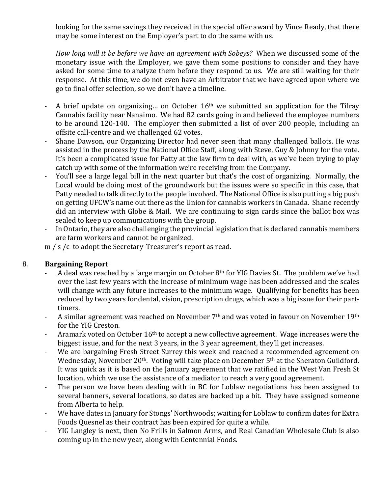looking for the same savings they received in the special offer award by Vince Ready, that there may be some interest on the Employer's part to do the same with us.

*How long will it be before we have an agreement with Sobeys?* When we discussed some of the monetary issue with the Employer, we gave them some positions to consider and they have asked for some time to analyze them before they respond to us. We are still waiting for their response. At this time, we do not even have an Arbitrator that we have agreed upon where we go to final offer selection, so we don't have a timeline.

- A brief update on organizing... on October 16<sup>th</sup> we submitted an application for the Tilray Cannabis facility near Nanaimo. We had 82 cards going in and believed the employee numbers to be around 120-140. The employer then submitted a list of over 200 people, including an offsite call-centre and we challenged 62 votes.
- Shane Dawson, our Organizing Director had never seen that many challenged ballots. He was assisted in the process by the National Office Staff, along with Steve, Guy & Johnny for the vote. It's been a complicated issue for Patty at the law firm to deal with, as we've been trying to play catch up with some of the information we're receiving from the Company.
- You'll see a large legal bill in the next quarter but that's the cost of organizing. Normally, the Local would be doing most of the groundwork but the issues were so specific in this case, that Patty needed to talk directly to the people involved. The National Office is also putting a big push on getting UFCW's name out there as the Union for cannabis workers in Canada. Shane recently did an interview with Globe & Mail. We are continuing to sign cards since the ballot box was sealed to keep up communications with the group.
- In Ontario, they are also challenging the provincial legislation that is declared cannabis members are farm workers and cannot be organized.

m / s /c to adopt the Secretary-Treasurer's report as read.

# 8. **Bargaining Report**

- A deal was reached by a large margin on October 8<sup>th</sup> for YIG Davies St. The problem we've had over the last few years with the increase of minimum wage has been addressed and the scales will change with any future increases to the minimum wage. Qualifying for benefits has been reduced by two years for dental, vision, prescription drugs, which was a big issue for their parttimers.
- A similar agreement was reached on November  $7<sup>th</sup>$  and was voted in favour on November 19<sup>th</sup> for the YIG Creston.
- Aramark voted on October 16<sup>th</sup> to accept a new collective agreement. Wage increases were the biggest issue, and for the next 3 years, in the 3 year agreement, they'll get increases.
- We are bargaining Fresh Street Surrey this week and reached a recommended agreement on Wednesday, November 20<sup>th</sup>. Voting will take place on December 5<sup>th</sup> at the Sheraton Guildford. It was quick as it is based on the January agreement that we ratified in the West Van Fresh St location, which we use the assistance of a mediator to reach a very good agreement.
- The person we have been dealing with in BC for Loblaw negotiations has been assigned to several banners, several locations, so dates are backed up a bit. They have assigned someone from Alberta to help.
- We have dates in January for Stongs' Northwoods; waiting for Loblaw to confirm dates for Extra Foods Quesnel as their contract has been expired for quite a while.
- YIG Langley is next, then No Frills in Salmon Arms, and Real Canadian Wholesale Club is also coming up in the new year, along with Centennial Foods.